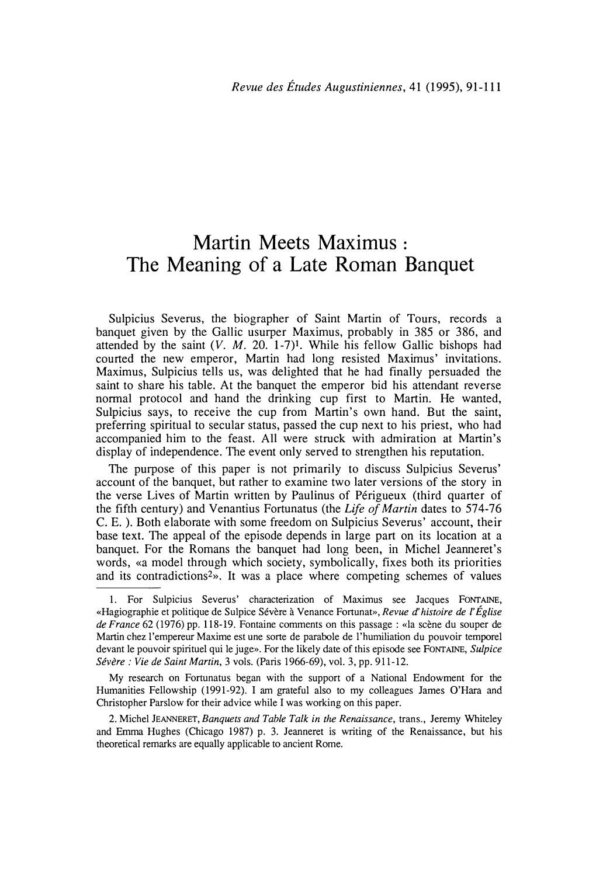# Martin Meets Maximus : The Meaning of a Late Roman Banquet

Sulpicius Severus, the biographer of Saint Martin of Tours, records a banquet given by the Gallic usurper Maximus, probably in 385 or 386, and attended by the saint  $(V. M. 20. 1-7)<sup>1</sup>$ . While his fellow Gallic bishops had courted the new emperor, Martin had long resisted Maximus' invitations. Maximus, Sulpicius tells us, was delighted that he had finally persuaded the saint to share his table. At the banquet the emperor bid his attendant reverse normal protocol and hand the drinking cup first to Martin. He wanted, Sulpicius says, to receive the cup from Martin's own hand. But the saint, preferring spiritual to secular status, passed the cup next to his priest, who had accompanied him to the feast. All were struck with admiration at Martin's display of independence. The event only served to strengthen his reputation.

The purpose of this paper is not primarily to discuss Sulpicius Severus' account of the banquet, but rather to examine two later versions of the story in the verse Lives of Martin written by Paulinus of Périgueux (third quarter of the fifth century) and Venantius Fortunatus (the *Life of Martin* dates to 574-76 C. E. ). Both elaborate with some freedom on Sulpicius Severus' account, their base text. The appeal of the episode depends in large part on its location at a banquet. For the Romans the banquet had long been, in Michel Jeanneret's words, «a model through which society, symbolically, fixes both its priorities and its contradictions<sup>2</sup>». It was a place where competing schemes of values

My research on Fortunatus began with the support of a National Endowment for the Humanities Fellowship (1991-92). I am grateful also to my colleagues James O'Hara and Christopher Parslow for their advice while I was working on this paper.

2. Michel JEANNERET, *Banquets and Table Talk in the Renaissance,* trans., Jeremy Whiteley and Emma Hughes (Chicago 1987) p. 3. Jeanneret is writing of the Renaissance, but his theoretical remarks are equally applicable to ancient Rome.

<sup>1.</sup> For Sulpicius Severus' characterization of Maximus see Jacques FONTAINE, «Hagiographie et politique de Sulpice Sévère à Venance Fortunat», *Revue d'histoire de l'Église de France* 62 (1976) pp. 118-19. Fontaine comments on this passage : «la scène du souper de Martin chez l'empereur Maxime est une sorte de parabole de Γ humiliation du pouvoir temporel devant le pouvoir spirituel qui le juge». For the likely date of this episode see FONTAINE, *Sulpice Sévère : Vie de Saint Martin,* 3 vols. (Paris 1966-69), vol. 3, pp. 911-12.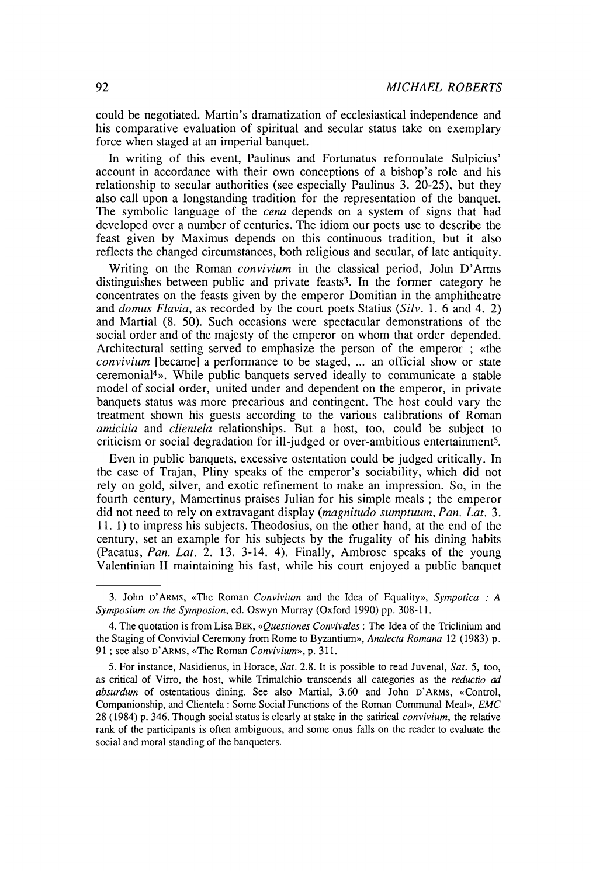could be negotiated. Martin's dramatization of ecclesiastical independence and his comparative evaluation of spiritual and secular status take on exemplary force when staged at an imperial banquet.

In writing of this event, Paulinus and Fortunatus reformulate Sulpicius' account in accordance with their own conceptions of a bishop's role and his relationship to secular authorities (see especially Paulinus 3,  $20-25$ ), but they also call upon a longstanding tradition for the representation of the banquet. The symbolic language of the *cena* depends on a system of signs that had developed over a number of centuries. The idiom our poets use to describe the feast given by Maximus depends on this continuous tradition, but it also reflects the changed circumstances, both religious and secular, of late antiquity.

Writing on the Roman *convivium* in the classical period, John D'Arms distinguishes between public and private feasts<sup>3</sup> . In the former category he concentrates on the feasts given by the emperor Domitian in the amphitheatre and *domus Flavia,* as recorded by the court poets Statius *(Silv.* 1. 6 and 4. 2) and Martial (8. 50). Such occasions were spectacular demonstrations of the social order and of the majesty of the emperor on whom that order depended. Architectural setting served to emphasize the person of the emperor ; «the *convivium* [became] a performance to be staged, ... an official show or state ceremonial<sup>4</sup> ». While public banquets served ideally to communicate a stable model of social order, united under and dependent on the emperor, in private banquets status was more precarious and contingent. The host could vary the treatment shown his guests according to the various calibrations of Roman *amicitia* and *clientela* relationships. But a host, too, could be subject to criticism or social degradation for ill-judged or over-ambitious entertainment<sup>5</sup> .

Even in public banquets, excessive ostentation could be judged critically. In the case of Trajan, Pliny speaks of the emperor's sociability, which did not rely on gold, silver, and exotic refinement to make an impression. So, in the fourth century, Mamertinus praises Julian for his simple meals ; the emperor did not need to rely on extravagant display *{magnitudo sumptuum, Pan. Lat.* 3. 11. 1) to impress his subjects. Theodosius, on the other hand, at the end of the century, set an example for his subjects by the frugality of his dining habits (Pacatus, *Pan. Lat.* 2. 13. 3-14. 4). Finally, Ambrose speaks of the young Valentinian II maintaining his fast, while his court enjoyed a public banquet

<sup>3.</sup> John D'ARMS, «The Roman *Convivium* and the Idea of Equality», *Sympotica : A Symposium on the Symposion,* ed. Oswyn Murray (Oxford 1990) pp. 308-11.

<sup>4.</sup> The quotation is from Lisa BEK, *«Questiones Convivales :* The Idea of the Triclinium and the Staging of Convivial Ceremony from Rome to Byzantium», *Analecta Romana* 12 (1983) p. 91 ; see also D'ARMS, «The Roman *Convivium»,* p. 311.

<sup>5.</sup> For instance, Nasidienus, in Horace, *Sat.* 2.8. It is possible to read Juvenal, *Sat.* 5, too, as critical of Virro, the host, while Trimalchio transcends all categories as the *reductio ad absurdum* of ostentatious dining. See also Martial, 3.60 and John D'ARMS, «Control, Companionship, and Clientela : Some Social Functions of the Roman Communal Meal», *EMC*  28 (1984) p. 346. Though social status is clearly at stake in the satirical *convivium,* the relative rank of the participants is often ambiguous, and some onus falls on the reader to evaluate the social and moral standing of the banqueters.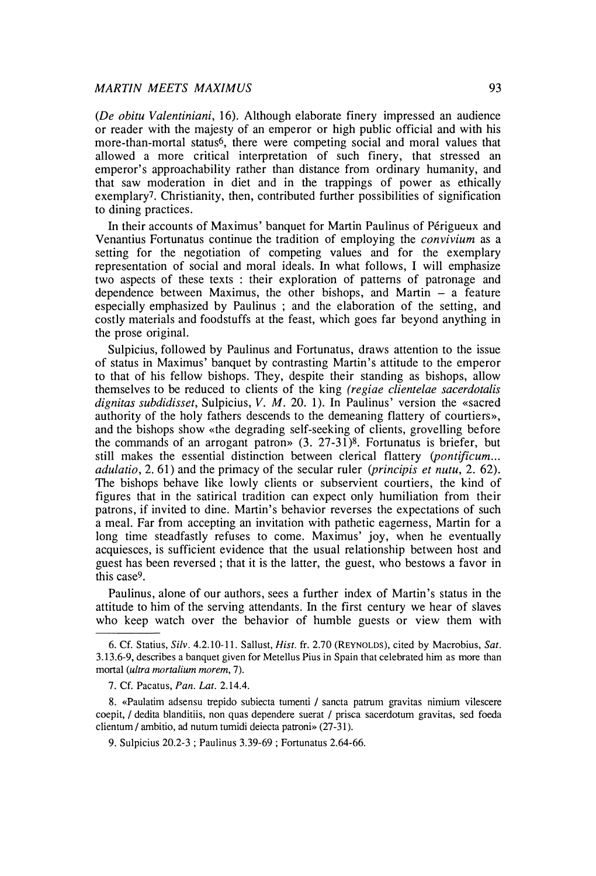## *MARTIN MEETS MAXIMUS* 93

(De *obitu Valentiniani,* 16). Although elaborate finery impressed an audience or reader with the majesty of an emperor or high public official and with his more-than-mortal status<sup>6</sup>, there were competing social and moral values that allowed a more critical interpretation of such finery, that stressed an emperor's approachability rather than distance from ordinary humanity, and that saw moderation in diet and in the trappings of power as ethically exemplary<sup>7</sup>. Christianity, then, contributed further possibilities of signification to dining practices.

In their accounts of Maximus' banquet for Martin Paulinus of Périgueux and Venantius Fortunatus continue the tradition of employing the *convivium* as a setting for the negotiation of competing values and for the exemplary representation of social and moral ideals. In what follows, I will emphasize two aspects of these texts : their exploration of patterns of patronage and dependence between Maximus, the other bishops, and Martin  $-$  a feature especially emphasized by Paulinus ; and the elaboration of the setting, and costly materials and foodstuffs at the feast, which goes far beyond anything in the prose original.

Sulpicius, followed by Paulinus and Fortunatus, draws attention to the issue of status in Maximus' banquet by contrasting Martin's attitude to the emperor to that of his fellow bishops. They, despite their standing as bishops, allow themselves to be reduced to clients of the king *(regiae clientelae sacerdotalis dignitas subdidisset,* Sulpicius, *V.* M. 20. 1). In Paulinus' version the «sacred authority of the holy fathers descends to the demeaning flattery of courtiers», and the bishops show «the degrading self-seeking of clients, grovelling before the commands of an arrogant patron»  $(3, 27-31)$ <sup>8</sup>. Fortunatus is briefer, but still makes the essential distinction between clerical flattery *(pontificum... adulano,* 2. 61) and the primacy of the secular ruler *(principis et nutu,* 2. 62). The bishops behave like lowly clients or subservient courtiers, the kind of figures that in the satirical tradition can expect only humiliation from their patrons, if invited to dine. Martin's behavior reverses the expectations of such a meal. Far from accepting an invitation with pathetic eagerness, Martin for a long time steadfastly refuses to come. Maximus' joy, when he eventually acquiesces, is sufficient evidence that the usual relationship between host and guest has been reversed ; that it is the latter, the guest, who bestows a favor in  $\frac{1}{2}$  case<sup>9</sup>.

Paulinus, alone of our authors, sees a further index of Martin's status in the attitude to him of the serving attendants. In the first century we hear of slaves who keep watch over the behavior of humble guests or view them with

8. «Paulatim adsensu trepido subiecta tumenti / sancta patrum gravitas nimium vilescere coepit, / dedita blanditiis, non quas dependere suerat / prisca sacerdotum gravitas, sed foeda clientum / ambitio, ad nutum tumidi deiecta patroni» (27-31).

<sup>6.</sup> Cf. Statius, *Silv.* 4.2.10-11. Sallust, *Hist.* fr. 2.70 (REYNOLDS), cited by Macrobius, *Sat.*  3.13.6-9, describes a banquet given for Metellus Pius in Spain that celebrated him as more than mortal *(ultra mortalium morem, 7).* 

<sup>7.</sup> Cf. Pacatus, *Pan. Lat.* 2.14.4.

<sup>9.</sup> Sulpicius 20.2-3 ; Paulinus 3.39-69 ; Fortunatus 2.64-66.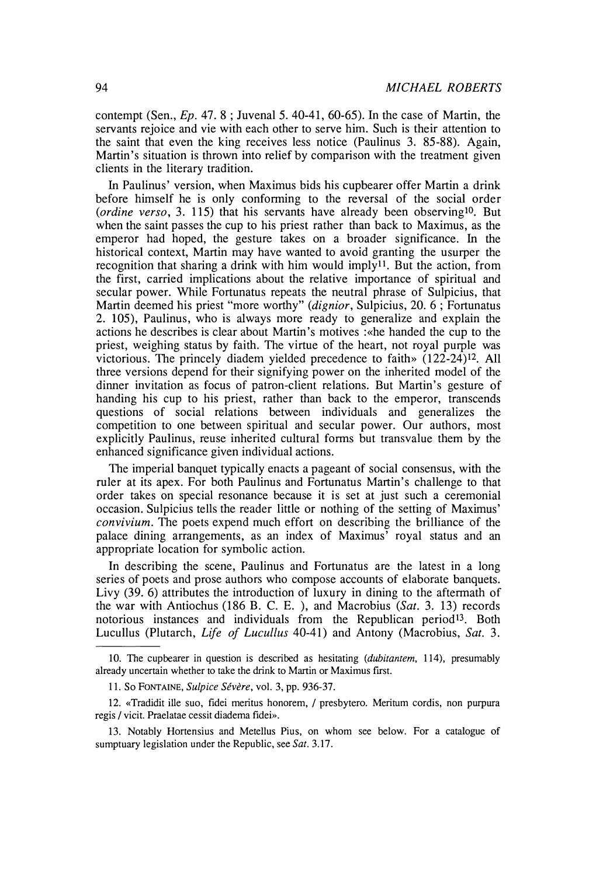contempt (Sen., *Ep.* 47. 8 ; Juvenal 5. 40-41, 60-65). In the case of Martin, the servants rejoice and vie with each other to serve him. Such is their attention to the saint that even the king receives less notice (Paulinus 3. 85-88). Again, Martin's situation is thrown into relief by comparison with the treatment given clients in the literary tradition.

In Paulinus' version, when Maximus bids his cupbearer offer Martin a drink before himself he is only conforming to the reversal of the social order *(ordine verso,* 3. 115) that his servants have already been observing<sup>10</sup>. But when the saint passes the cup to his priest rather than back to Maximus, as the emperor had hoped, the gesture takes on a broader significance. In the historical context, Martin may have wanted to avoid granting the usurper the recognition that sharing a drink with him would imply<sup>11</sup>. But the action, from the first, carried implications about the relative importance of spiritual and secular power. While Fortunatus repeats the neutral phrase of Sulpicius, that Martin deemed his priest "more worthy" *(dignior,* Sulpicius, 20. 6 ; Fortunatus 2. 105), Paulinus, who is always more ready to generalize and explain the actions he describes is clear about Martin's motives :«he handed the cup to the priest, weighing status by faith. The virtue of the heart, not royal purple was victorious. The princely diadem yielded precedence to faith» (122-24)!<sup>2</sup> . All three versions depend for their signifying power on the inherited model of the dinner invitation as focus of patron-client relations. But Martin's gesture of handing his cup to his priest, rather than back to the emperor, transcends questions of social relations between individuals and generalizes the competition to one between spiritual and secular power. Our authors, most explicitly Paulinus, reuse inherited cultural forms but transvalue them by the enhanced significance given individual actions.

The imperial banquet typically enacts a pageant of social consensus, with the ruler at its apex. For both Paulinus and Fortunatus Martin's challenge to that order takes on special resonance because it is set at just such a ceremonial occasion. Sulpicius tells the reader little or nothing of the setting of Maximus' *convivium.* The poets expend much effort on describing the brilliance of the palace dining arrangements, as an index of Maximus' royal status and an appropriate location for symbolic action.

In describing the scene, Paulinus and Fortunatus are the latest in a long series of poets and prose authors who compose accounts of elaborate banquets. Livy (39. 6) attributes the introduction of luxury in dining to the aftermath of the war with Antiochus (186 B. C. E. ), and Macrobius *(Sat.* 3. 13) records notorious instances and individuals from the Republican period<sup>13</sup>. Both Lucullus (Plutarch, *Life of Lucullus* 40-41) and Antony (Macrobius, *Sat.* 3.

<sup>10.</sup> The cupbearer in question is described as hesitating *(dubitantem,* 114), presumably already uncertain whether to take the drink to Martin or Maximus first.

<sup>11.</sup> So FONTAINE, *Sulpice Sévère,* vol. 3, pp. 936-37.

<sup>12. «</sup>Tradidit ille suo, fidei meritus honorem, / presbytero. Meritum cordis, non purpura regis / vicit. Praelatae cessit diadema fidei».

<sup>13.</sup> Notably Hortensius and Metellus Pius, on whom see below. For a catalogue of sumptuary legislation under the Republic, see *Sat.* 3.17.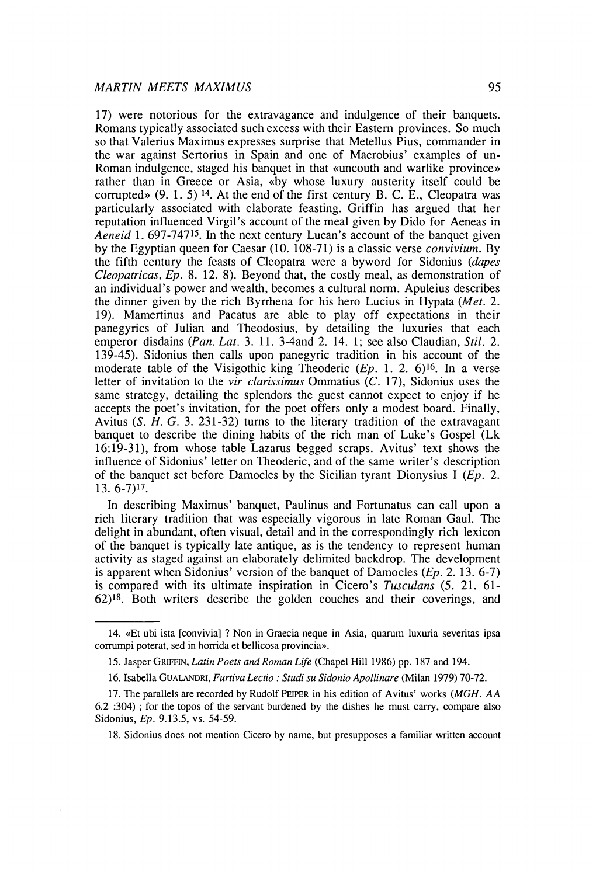17) were notorious for the extravagance and indulgence of their banquets. Romans typically associated such excess with their Eastern provinces. So much so that Valerius Maximus expresses surprise that Metellus Pius, commander in the war against Sertorius in Spain and one of Macrobius' examples of un-Roman indulgence, staged his banquet in that «uncouth and warlike province» rather than in Greece or Asia, «by whose luxury austerity itself could be corrupted»  $(9, 1, 5)$  <sup>14</sup>. At the end of the first century B. C. E., Cleopatra was particularly associated with elaborate feasting. Griffin has argued that her reputation influenced Virgil's account of the meal given by Dido for Aeneas in *Aeneid* 1. 697-7471<sup>5</sup> . In the next century Lucan's account of the banquet given by the Egyptian queen for Caesar (10. 108-71) is a classic verse *convivium.* By the fifth century the feasts of Cleopatra were a byword for Sidonius *(dapes Cleopatricas, Ep.* 8. 12. 8). Beyond that, the costly meal, as demonstration of an individual's power and wealth, becomes a cultural norm. Apuleius describes the dinner given by the rich Byrrhena for his hero Lucius in Hypata *{Met.* 2. 19). Mamertinus and Pacatus are able to play off expectations in their panegyrics of Julian and Theodosius, by detailing the luxuries that each emperor disdains (*Pan. Lat.* 3. 11. 3-4and 2. 14. 1; see also Claudian, *Stil.* 2. 139-45). Sidonius then calls upon panegyric tradition in his account of the moderate table of the Visigothic king Theoderic *(Ep.* 1, 2, 6)<sup>16</sup>. In a verse letter of invitation to the *vir clarissimus* Ommatius *(C.* 17), Sidonius uses the same strategy, detailing the splendors the guest cannot expect to enjoy if he accepts the poet's invitation, for the poet offers only a modest board. Finally, Avitus *(S. H. G.* 3. 231-32) turns to the literary tradition of the extravagant banquet to describe the dining habits of the rich man of Luke's Gospel (Lk 16:19-31), from whose table Lazarus begged scraps. Avitus' text shows the influence of Sidonius' letter on Theoderic, and of the same writer's description of the banquet set before Damocles by the Sicilian tyrant Dionysius I *(Ep.* 2. 13. 6-7)17.

In describing Maximus' banquet, Paulinus and Fortunatus can call upon a rich literary tradition that was especially vigorous in late Roman Gaul. The delight in abundant, often visual, detail and in the correspondingly rich lexicon of the banquet is typically late antique, as is the tendency to represent human activity as staged against an elaborately delimited backdrop. The development is apparent when Sidonius' version of the banquet of Damocles *(Ep.* 2. 13. 6-7) is compared with its ultimate inspiration in Cicero's *Tusculans* (5. 21. 61- 62)i<sup>8</sup> . Both writers describe the golden couches and their coverings, and

<sup>14. «</sup>Et ubi ista [convivía] ? Non in Graecia ñeque in Asia, quarum luxuria severitas ipsa corrumpi poterat, sed in horrida et bellicosa provincia».

<sup>15.</sup> Jasper GRIFFIN, *Latin Poets and Roman Life* (Chapel Hill 1986) pp. 187 and 194.

<sup>16.</sup> Isabella GUALANDRI, *Furtiva Lectio : Studi su Sidonio Apollinare* (Milan 1979) 70-72.

<sup>17.</sup> The parallels are recorded by Rudolf PEIPER in his edition of Avitus' works *(MGH. A A*  6.2 :304) ; for the topos of the servant burdened by the dishes he must carry, compare also Sidonius, *Ep.* 9.13.5, vs. 54-59.

<sup>18.</sup> Sidonius does not mention Cicero by name, but presupposes a familiar written account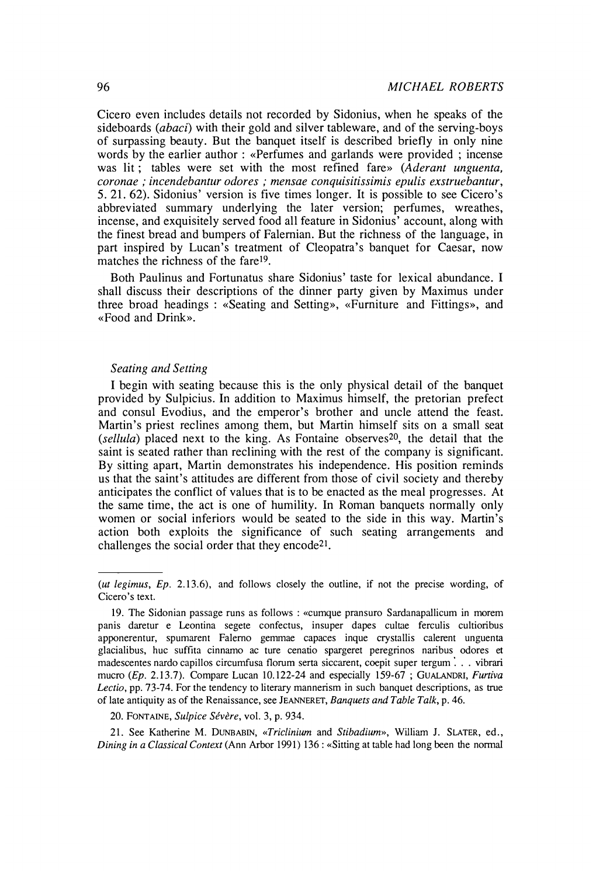Cicero even includes details not recorded by Sidonius, when he speaks of the sideboards *(abaci)* with their gold and silver tableware, and of the serving-boys of surpassing beauty. But the banquet itself is described briefly in only nine words by the earlier author : «Perfumes and garlands were provided ; incense was lit ; tables were set with the most refined fare» *(Aderant unguenta, coronae ; incendebantur odores ; mensae conquisitissimis epulis exstruebantur,*  5. 21. 62). Sidonius' version is five times longer. It is possible to see Cicero's abbreviated summary underlying the later version; perfumes, wreathes, incense, and exquisitely served food all feature in Sidonius' account, along with the finest bread and bumpers of Falernian. But the richness of the language, in part inspired by Lucan's treatment of Cleopatra's banquet for Caesar, now matches the richness of the fare<sup>19</sup>.

Both Paulinus and Fortunatus share Sidonius' taste for lexical abundance. I shall discuss their descriptions of the dinner party given by Maximus under three broad headings : «Seating and Setting», «Furniture and Fittings», and «Food and Drink».

## *Seating and Setting*

I begin with seating because this is the only physical detail of the banquet provided by Sulpicius. In addition to Maximus himself, the pretorian prefect and consul Evodius, and the emperor's brother and uncle attend the feast. Martin's priest reclines among them, but Martin himself sits on a small seat (sellula) placed next to the king. As Fontaine observes<sup>20</sup>, the detail that the saint is seated rather than reclining with the rest of the company is significant. By sitting apart, Martin demonstrates his independence. His position reminds us that the saint's attitudes are different from those of civil society and thereby anticipates the conflict of values that is to be enacted as the meal progresses. At the same time, the act is one of humility. In Roman banquets normally only women or social inferiors would be seated to the side in this way. Martin's action both exploits the significance of such seating arrangements and challenges the social order that they encode<sup>21</sup>.

*<sup>{</sup>ut legimus, Ep.* 2.13.6), and follows closely the outline, if not the precise wording, of Cicero's text.

<sup>19.</sup> The Sidonian passage runs as follows : «cumque pransuro Sardanapallicum in morem panis daretur e Leontina segete confectus, insuper dapes cultae ferculis cultioribus apponerentur, spumarent Falerno gemmae capaces inque crystallis calèrent unguenta glacialibus, hue suffita cinnamo ac ture cenatio spargeret peregrinos naribus odores et madescentes nardo capillos circumfusa florum serta siccarent, coepit super tergum '. . . vibrari muero *(Ep.* 2.13.7). Compare Lucan 10.122-24 and especially 159-67 ; GUALANDRI, *Furtiva Lectio,* pp. 73-74. For the tendency to literary mannerism in such banquet descriptions, as true of late antiquity as of the Renaissance, see JEANNERET, *Banquets and Table Talk,* p. 46.

<sup>20.</sup> FONTAINE, *Sulpice Sévère,* vol. 3, p. 934.

<sup>21.</sup> See Katherine M. DUNBABIN, *«Triclinium* and *Stibadium»,* William J. SLATER, ed., *Dining in a Classical Context* (Ann Arbor 1991) 136 : «Sitting at table had long been the normal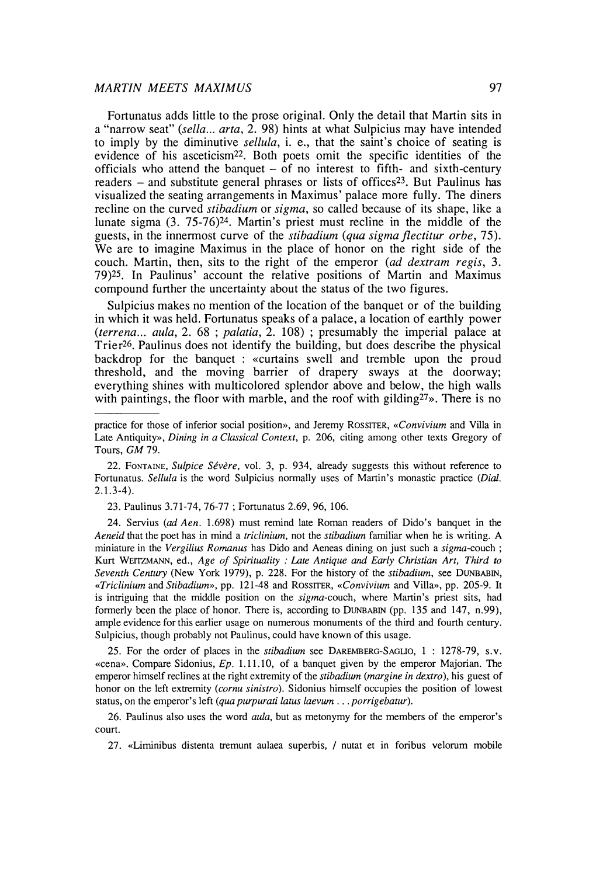# *MARTIN MEETS MAXIMUS* 97

Fortunatus adds little to the prose original. Only the detail that Martin sits in a "narrow seat" *(sella... arta,* 2. 98) hints at what Sulpicius may have intended to imply by the diminutive *sellula,* i. e., that the saint's choice of seating is evidence of his asceticism<sup>22</sup>. Both poets omit the specific identities of the officials who attend the banquet  $-$  of no interest to fifth- and sixth-century readers - and substitute general phrases or lists of offices<sup>23</sup>. But Paulinus has visualized the seating arrangements in Maximus' palace more fully. The diners recline on the curved *stibadium* or *sigma,* so called because of its shape, like a lunate sigma (3. 75-76)<sup>24</sup>. Martin's priest must recline in the middle of the guests, in the innermost curve of the *stibadium (qua sigma flectitur orbe,* 75). We are to imagine Maximus in the place of honor on the right side of the couch. Martin, then, sits to the right of the emperor *(ad dextram regis,* 3. 79)<sup>25</sup> . In Paulinus' account the relative positions of Martin and Maximus compound further the uncertainty about the status of the two figures.

Sulpicius makes no mention of the location of the banquet or of the building in which it was held. Fortunatus speaks of a palace, a location of earthly power *(terrena... aula,* 2. 68 ; *palada, 2.* 108) ; presumably the imperial palace at Trier<sup>26</sup>. Paulinus does not identify the building, but does describe the physical backdrop for the banquet : «curtains swell and tremble upon the proud threshold, and the moving barrier of drapery sways at the doorway; everything shines with multicolored splendor above and below, the high walls with paintings, the floor with marble, and the roof with gilding  $27$ ». There is no

23. Paulinus 3.71-74, 76-77 ; Fortunatus 2.69, 96, 106.

24. Servius *(ad Aen.* 1.698) must remind late Roman readers of Dido's banquet in the *Aeneid* that the poet has in mind a *triclinium,* not the *stibadium* familiar when he is writing. A miniature in the *Vergilius Romanus* has Dido and Aeneas dining on just such a *sigma-couch ;*  Kurt WEITZMANN, ed., *Age of Spirituality : Late Antique and Early Christian Art, Third to Seventh Century* (New York 1979), p. 228. For the history of the *stibadium,* see DUNBABIN, *«Triclinium* and *Stibadium»,* pp. 121-48 and ROSSUER, *«Convivium* and Villa», pp. 205-9. It is intriguing that the middle position on the *sigma-couch,* where Martin's priest sits, had formerly been the place of honor. There is, according to DUNBABIN (pp. 135 and 147, n.99), ample evidence for this earlier usage on numerous monuments of the third and fourth century. Sulpicius, though probably not Paulinus, could have known of this usage.

25. For the order of places in the *stibadium* see DAREMBERG-SAGLIO, 1 : 1278-79, s.v. «cena». Compare Sidonius, *Ep.* 1.11.10, of a banquet given by the emperor Majorian. The emperor himself reclines at the right extremity of the *stibadium (margine in dextro),* his guest of honor on the left extremity *(cornu sinistro).* Sidonius himself occupies the position of lowest status, on the emperor's left (qua purpurati latus laevum . . . porrigebatur).

26. Paulinus also uses the word *aula,* but as metonymy for the members of the emperor's court.

27. «Liminibus distenta tremunt aulaea superbis, / nutat et in foribus velorum mobile

practice for those of inferior social position», and Jeremy ROSSITER, *«Convivium* and Villa in Late Antiquity», *Dining in a Classical Context,* p. 206, citing among other texts Gregory of Tours, *GM* 79.

<sup>22.</sup> FONTAINE, *Sulpice Sévère,* vol. 3, p. 934, already suggests this without reference to Fortunatus. *Sellula* is the word Sulpicius normally uses of Martin's monastic practice *(Dial.*  2.1.3-4).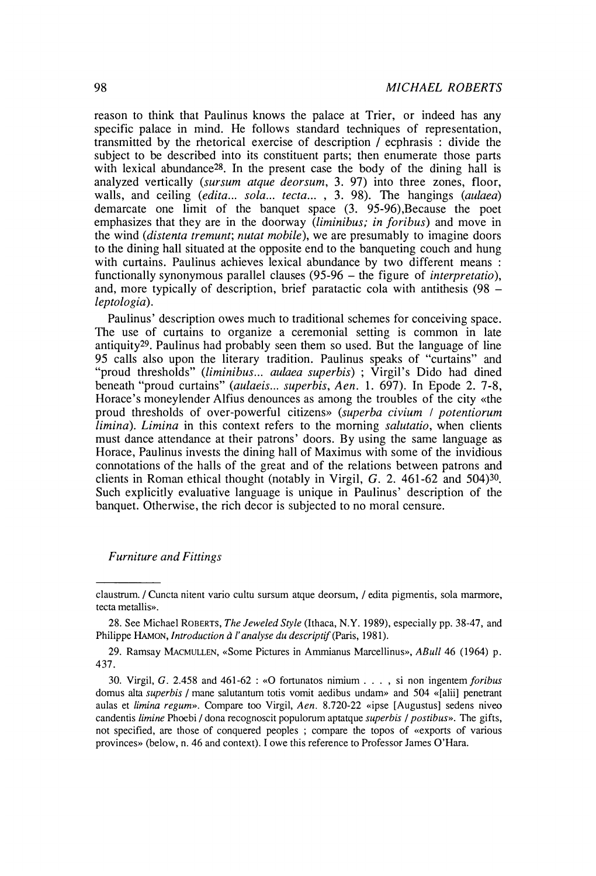reason to think that Paulinus knows the palace at Trier, or indeed has any specific palace in mind. He follows standard techniques of representation, transmitted by the rhetorical exercise of description / ecphrasis : divide the subject to be described into its constituent parts; then enumerate those parts with lexical abundance<sup>28</sup>. In the present case the body of the dining hall is analyzed vertically *(sursum atque deorsum,* 3. 97) into three zones, floor, walls, and ceiling *(edita... sola... tecta...* , 3. 98). The hangings *(aulaea)*  demarcate one limit of the banquet space (3. 95-96),Because the poet emphasizes that they are in the doorway *(liminibus; in foribus)* and move in the wind *(distenta tremunt; nutat mobile)*, we are presumably to imagine doors to the dining hall situated at the opposite end to the banqueting couch and hung with curtains. Paulinus achieves lexical abundance by two different means : functionally synonymous parallel clauses (95-96 - the figure of *interpretado),*  and, more typically of description, brief paratactic cola with antithesis (98  $$ *leptologia).* 

Paulinus' description owes much to traditional schemes for conceiving space. The use of curtains to organize a ceremonial setting is common in late antiquity<sup>29</sup> . Paulinus had probably seen them so used. But the language of line 95 calls also upon the literary tradition. Paulinus speaks of "curtains" and "proud thresholds" *(liminibus... aulaea superbis)* ; Virgil's Dido had dined beneath "proud curtains" *(aulaeis... superbis, Aen.* 1. 697). In Epode 2. 7-8, Horace's moneylender Alfius denounces as among the troubles of the city «the proud thresholds of over-powerful citizens» *(superba civium I potentiorum limina*). *Limina* in this context refers to the morning *salutatio*, when clients must dance attendance at their patrons' doors. By using the same language as Horace, Paulinus invests the dining hall of Maximus with some of the invidious connotations of the halls of the great and of the relations between patrons and clients in Roman ethical thought (notably in Virgil, *G. 2.* 461-62 and 504)<sup>30</sup> . Such explicitly evaluative language is unique in Paulinus' description of the banquet. Otherwise, the rich decor is subjected to no moral censure.

# *Furniture and Fittings*

claustrum. / Cuneta nitent vario cultu sursum atque deorsum, / edita pigmentis, sola marmore, tecta metallis».

<sup>28.</sup> See Michael ROBERTS, *The Jeweled Style* (Ithaca, N.Y. 1989), especially pp. 38-47, and Philippe HAMON, *Introduction à l'analyse du descriptif*(Paris, 1981).

<sup>29.</sup> Ramsay MACMULLEN, «Some Pictures in Ammianus Marcellinus», *ABull* 46 (1964) p. 437.

<sup>30.</sup> Virgil, G. 2.458 and 461-62 : «O fortunatos nimium . . . , si non ingentem *foribus*  domus alta *superbis I* mane salutantum totis vomit aedibus undam» and 504 « [alii] penetrant aulas et *limina regum».* Compare too Virgil, *Aen.* 8.720-22 «ipse [Augustus] sedens niveo candentis *limine* Phoebi / dona recognoscit populorum aptatque *superbis I postibus».* The gifts, not specified, are those of conquered peoples ; compare the topos of «exports of various provinces» (below, n. 46 and context). I owe this reference to Professor James O'Hara.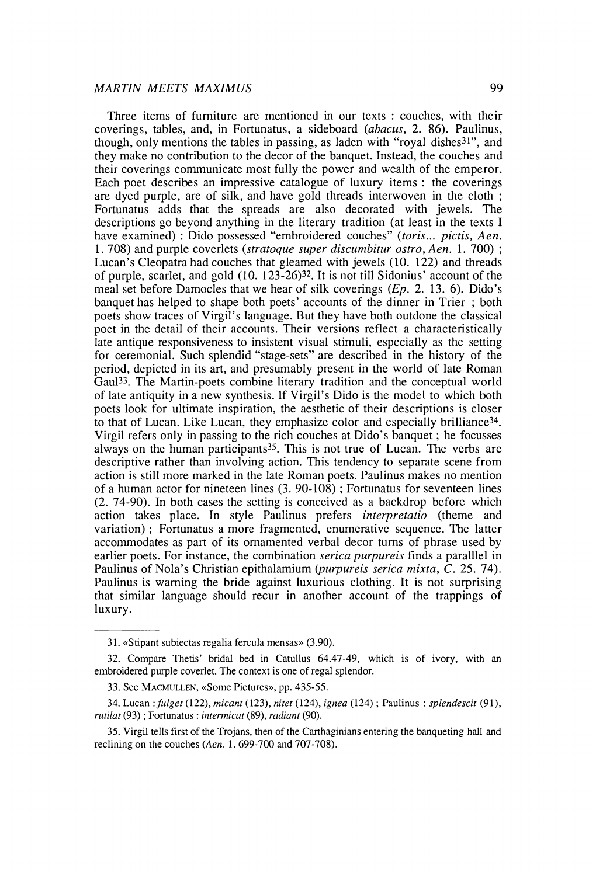Three items of furniture are mentioned in our texts : couches, with their coverings, tables, and, in Fortunatus, a sideboard *{abacus,* 2. 86). Paulinus, though, only mentions the tables in passing, as laden with "royal dishes<sup>31</sup>", and they make no contribution to the decor of the banquet. Instead, the couches and their coverings communicate most fully the power and wealth of the emperor. Each poet describes an impressive catalogue of luxury items : the coverings are dyed purple, are of silk, and have gold threads interwoven in the cloth ; Fortunatus adds that the spreads are also decorated with jewels. The descriptions go beyond anything in the literary tradition (at least in the texts I have examined) : Dido possessed "embroidered couches" (toris... pictis, Aen. 1. 708) and purple coverlets *(stratoque super discumbitur ostro, Aen.* 1. 700) ; Lucan's Cleopatra had couches that gleamed with jewels (10. 122) and threads of purple, scarlet, and gold (10. 123-26)32. It is not till Sidonius' account of the meal set before Damocles that we hear of silk coverings *(Ep.* 2. 13. 6). Dido's banquet has helped to shape both poets' accounts of the dinner in Trier ; both poets show traces of Virgil's language. But they have both outdone the classical poet in the detail of their accounts. Their versions reflect a characteristically late antique responsiveness to insistent visual stimuli, especially as the setting for ceremonial. Such splendid "stage-sets" are described in the history of the period, depicted in its art, and presumably present in the world of late Roman Gaul<sup>33</sup>. The Martin-poets combine literary tradition and the conceptual world of late antiquity in a new synthesis. If Virgil's Dido is the model to which both poets look for ultimate inspiration, the aesthetic of their descriptions is closer to that of Lucan. Like Lucan, they emphasize color and especially brilliance<sup>34</sup>. Virgil refers only in passing to the rich couches at Dido's banquet ; he focusses always on the human participants<sup>35</sup>. This is not true of Lucan. The verbs are descriptive rather than involving action. This tendency to separate scene from action is still more marked in the late Roman poets. Paulinus makes no mention of a human actor for nineteen lines (3. 90-108) ; Fortunatus for seventeen lines (2. 74-90). In both cases the setting is conceived as a backdrop before which action takes place. In style Paulinus prefers *interpretado* (theme and variation) ; Fortunatus a more fragmented, enumerative sequence. The latter accommodates as part of its ornamented verbal decor turns of phrase used by earlier poets. For instance, the combination *serica purpureis* finds a paralllel in Paulinus of Nola's Christian epithalamium *(purpureis serica mixta, C.* 25. 74). Paulinus is warning the bride against luxurious clothing. It is not surprising that similar language should recur in another account of the trappings of luxury.

<sup>31. «</sup>Stipant subiectas regalia fercula mensas» (3.90).

<sup>32.</sup> Compare Thetis' bridal bed in Catullus 64.47-49, which is of ivory, with an embroidered purple coverlet. The context is one of regal splendor.

<sup>33.</sup> See MACMULLEN, «Some Pictures», pp. 435-55.

<sup>34.</sup> Lucan *ifulget* (122), *micant* (123), *ratet* (124), *ignea* (124) ; Paulinus : *splendescit* (91), *rutilât* (93) ; Fortunatus : *intermicat* (89), *radiant* (90).

<sup>35.</sup> Virgil tells first of the Trojans, then of the Carthaginians entering the banqueting hall and reclining on the couches *(Aen.* 1. 699-700 and 707-708).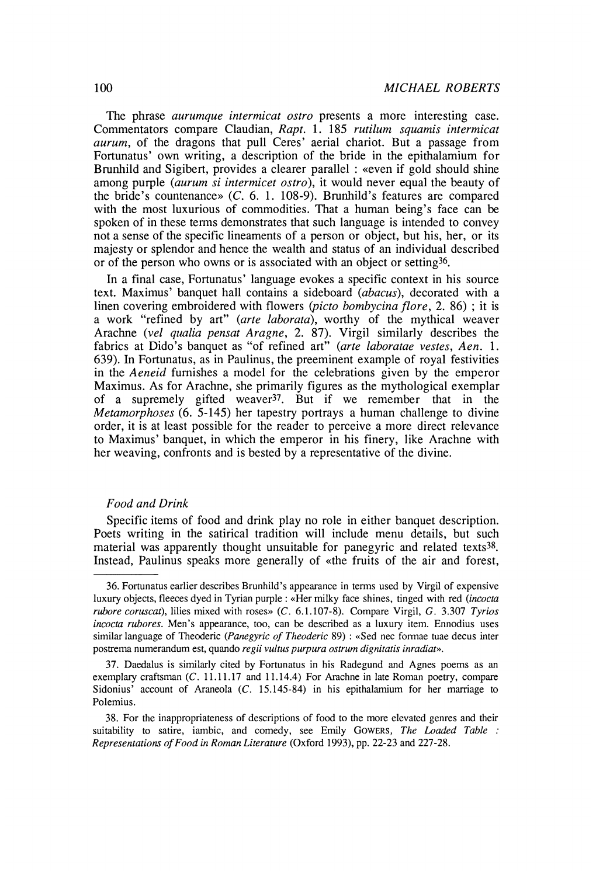The phrase *aurumque intermicat ostro* presents a more interesting case. Commentators compare Claudian, *Rapt.* 1. 185 *rutilum squamis intermicat aurum,* of the dragons that pull Ceres' aerial chariot. But a passage from Fortunatus' own writing, a description of the bride in the epithalamium for Brunhild and Sigibert, provides a clearer parallel : «even if gold should shine among purple *(aurum si intermicet ostro),* it would never equal the beauty of the bride's countenance» (C. 6. 1. 108-9). Brunhild's features are compared with the most luxurious of commodities. That a human being's face can be spoken of in these terms demonstrates that such language is intended to convey not a sense of the specific lineaments of a person or object, but his, her, or its majesty or splendor and hence the wealth and status of an individual described or of the person who owns or is associated with an object or setting<sup>36</sup>.

In a final case, Fortunatus' language evokes a specific context in his source text. Maximus' banquet hall contains a sideboard *(abacus),* decorated with a linen covering embroidered with flowers *(picto bombycina flore,* 2. 86) ; it is a work "refined by art" *(arte laborata),* worthy of the mythical weaver Arachne *(vel qualia pensât Aragne,* 2. 87). Virgil similarly describes the fabrics at Dido's banquet as "of refined art" *(arte laboratae vestes, Aen.* 1. 639). In Fortunatus, as in Paulinus, the preeminent example of royal festivities in the *Aeneid* furnishes a model for the celebrations given by the emperor Maximus. As for Arachne, she primarily figures as the mythological exemplar of a supremely gifted weaver<sup>37</sup> . But if we remember that in the *Metamorphoses* (6. 5-145) her tapestry portrays a human challenge to divine order, it is at least possible for the reader to perceive a more direct relevance to Maximus' banquet, in which the emperor in his finery, like Arachne with her weaving, confronts and is bested by a representative of the divine.

#### *Food and Drink*

Specific items of food and drink play no role in either banquet description. Poets writing in the satirical tradition will include menu details, but such material was apparently thought unsuitable for panegyric and related texts<sup>38</sup>. Instead, Paulinus speaks more generally of «the fruits of the air and forest,

<sup>36.</sup> Fortunatus earlier describes Brunhild's appearance in terms used by Virgil of expensive luxury objects, fleeces dyed in Tyrian purple : «Her milky face shines, tinged with red *(incocta rubore coruscai),* lilies mixed with roses» (C. 6.1.107-8). Compare Virgil, *G.* 3.307 *Tyrios incocta rubores.* Men's appearance, too, can be described as a luxury item. Ennodius uses similar language of Theoderic *(Panegyric of Theoderic* 89) : «Sed nec formae tuae decus inter postrema numerandum est, quando *regii vultus purpura ostrum dignitatis inradiat».* 

<sup>37.</sup> Daedalus is similarly cited by Fortunatus in his Radegund and Agnes poems as an exemplary craftsman  $(C. 11.11.17$  and  $11.14.4$ ) For Arachne in late Roman poetry, compare Sidonius' account of Araneola (C. 15.145-84) in his epithalamium for her marriage to Polemius.

<sup>38.</sup> For the inappropriateness of descriptions of food to the more elevated genres and their suitability to satire, iambic, and comedy, see Emily GOWERS, *The Loaded Table : Representations of Food in Roman Literature* (Oxford 1993), pp. 22-23 and 227-28.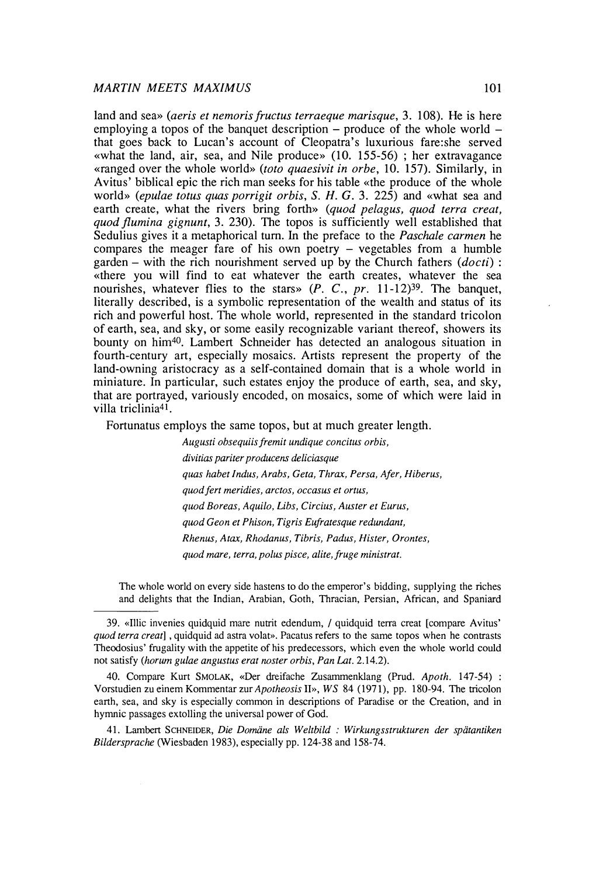land and sea» *(aeris et nemoris fructus terraeque marisque,* 3. 108). He is here employing a topos of the banquet description  $-$  produce of the whole world  $$ that goes back to Lucan's account of Cleopatra's luxurious fare:she served «what the land, air, sea, and Nile produce» (10. 155-56) ; her extravagance «ranged over the whole world» *(toto quaesivit in orbe,* 10. 157). Similarly, in Avitus' biblical epic the rich man seeks for his table «the produce of the whole world» *(epulae totus quas porrigit orbis, S. H. G.* 3. 225) and «what sea and earth create, what the rivers bring forth» *{quod pelagus, quod terra creat, quod flumina gignunt,* 3. 230). The topos is sufficiently well established that Sedulius gives it a metaphorical turn. In the preface to the *Paschale carmen* he compares the meager fare of his own poetry - vegetables from a humble garden - with the rich nourishment served up by the Church fathers *(docti) :*  «there you will find to eat whatever the earth creates, whatever the sea nourishes, whatever flies to the stars» *(P. C, pr.* 11-12)<sup>39</sup> . The banquet, literally described, is a symbolic representation of the wealth and status of its rich and powerful host. The whole world, represented in the standard tricolon of earth, sea, and sky, or some easily recognizable variant thereof, showers its bounty on him<sup>40</sup> . Lambert Schneider has detected an analogous situation in fourth-century art, especially mosaics. Artists represent the property of the land-owning aristocracy as a self-contained domain that is a whole world in miniature. In particular, such estates enjoy the produce of earth, sea, and sky, that are portrayed, variously encoded, on mosaics, some of which were laid in mar are portary.<br>villa triclinia<sup>41</sup>.

Fortunatus employs the same topos, but at much greater length.

*Augusti obsequiis frémit undique concitus orbis, divitias par iter producens deliciasque quas habet Indus, Arabs, Géta, Thrax, Persa, Afer, Hiberus, quod fen mendies, arctos, occasus et ortus, quod Boreas, Aquilo, Libs, Circius, Auster et Eurus, quod Geon et Phison, Tigris Eufratesque redundant, Rhenus, Atax, Rhodanus, Tibris, Padus, H is ter, Orontes, quod mare, terra, polus pisce, alite, jruge ministrat.* 

The whole world on every side hastens to do the emperor's bidding, supplying the riches and delights that the Indian, Arabian, Goth, Thracian, Persian, African, and Spaniard

<sup>39. «</sup>Illic invenies quidquid mare nutrit edendum, / quidquid terra creat [compare Avitus' *quod terra creat]* , quidquid ad astra volat». Pacatus refers to the same topos when he contrasts Theodosius' frugality with the appetite of his predecessors, which even the whole world could not satisfy *(horum gulae angustus erat noster orbis, Pan Lat.* 2.14.2).

<sup>40.</sup> Compare Kurt SMOLAK, «Der dreifache Zusammenklang (Prud. *Apoth.* 147-54) : Vorstudien zu einem Kommentar zur *Apotheosis* II», *WS* 84 (1971), pp. 180-94. The tricolon earth, sea, and sky is especially common in descriptions of Paradise or the Creation, and in hymnic passages extolling the universal power of God.

<sup>4</sup>L Lambert SCHNEIDER, *Die Domäne als Weltbild : Wirkungsstrukturen der spätantiken Bildersprache* (Wiesbaden 1983), especially pp. 124-38 and 158-74.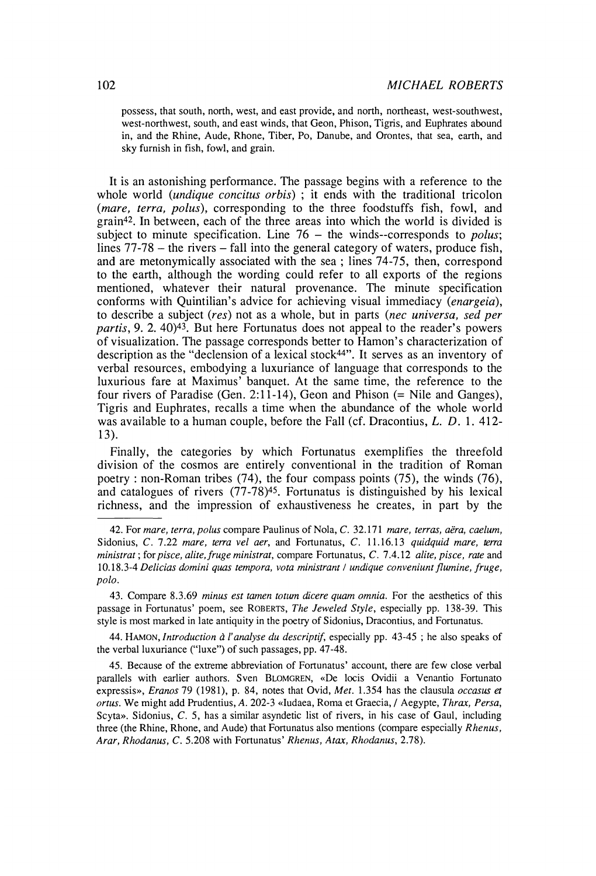possess, that south, north, west, and east provide, and north, northeast, west-southwest, west-northwest, south, and east winds, that Geon, Phison, Tigris, and Euphrates abound in, and the Rhine, Aude, Rhone, Tiber, Po, Danube, and Orontes, that sea, earth, and sky furnish in fish, fowl, and grain.

It is an astonishing performance. The passage begins with a reference to the whole world *(undique concitus orbis)* ; it ends with the traditional tricolon *{mare, terra, polus),* corresponding to the three foodstuffs fish, fowl, and grain<sup>42</sup> . In between, each of the three areas into which the world is divided is subject to minute specification. Line 76 – the winds--corresponds to *polus*; lines  $77-78$  – the rivers – fall into the general category of waters, produce fish, and are metonymically associated with the sea ; lines 74-75, then, correspond to the earth, although the wording could refer to all exports of the regions mentioned, whatever their natural provenance. The minute specification conforms with Quintilian's advice for achieving visual immediacy *(enargeia),*  to describe a subject *(res)* not as a whole, but in parts *(nee universa, sed per*  partis, 9. 2. 40)<sup>43</sup>. But here Fortunatus does not appeal to the reader's powers of visualization. The passage corresponds better to Hamon's characterization of description as the "declension of a lexical stock<sup>44</sup>". It serves as an inventory of verbal resources, embodying a luxuriance of language that corresponds to the luxurious fare at Maximus' banquet. At the same time, the reference to the four rivers of Paradise (Gen. 2:11-14), Geon and Phison (= Nile and Ganges), Tigris and Euphrates, recalls a time when the abundance of the whole world was available to a human couple, before the Fall (cf. Dracontius, L. D. 1. 412-13).

Finally, the categories by which Fortunatus exemplifies the threefold division of the cosmos are entirely conventional in the tradition of Roman poetry : non-Roman tribes (74), the four compass points (75), the winds (76), and catalogues of rivers (77-78)<sup>45</sup> . Fortunatus is distinguished by his lexical richness, and the impression of exhaustiveness he creates, in part by the

44. HAMON, *Introduction à l'analyse du descriptif,* especially pp. 43-45 ; he also speaks of the verbal luxuriance ("luxe") of such passages, pp. 47-48.

45. Because of the extreme abbreviation of Fortunatus' account, there are few close verbal parallels with earlier authors. Sven BLOMGREN, «De locis Ovidii a Venantio Fortunato expressis», *Éranos* 79 (1981), p. 84, notes that Ovid, *Met.* 1.354 has the clausula *occasus et ortus.* We might add Prudentius, *A.* 202-3 «Iudaea, Roma et Graecia, / Aegypte, *Thrax, Persa,*  Scyta». Sidonius, *C.* 5, has a similar asyndetic list of rivers, in his case of Gaul, including three (the Rhine, Rhone, and Aude) that Fortunatus also mentions (compare especially *Rhenus, Arar, Rhodanus, C.* 5.208 with Fortunatus' *Rhenus, Atax, Rhodanus,* 2.78).

<sup>42.</sup> *Formare, terra, polus* compare Paulinus of Nola, *C.* 32.171 *mare, terras, aera, caelum,*  Sidonius, *C.* 7.22 *mare, terra vel aer,* and Fortunatus, *C.* 11.16.13 *quidquid mare, terra ministrai* ; *for pisce, alite, fruge ministrai,* compare Fortunatus, *C.* 7.4.12 *alite, pisce, rate* and 10.18.3-4 *Delicias domini quas tempora, vota ministranî I undique conveniunt flumine, fruge, polo.* 

<sup>43.</sup> Compare 8.3.69 *minus est tarnen totum dicere quam omnia.* For the aesthetics of this passage in Fortunatus' poem, see ROBERTS, *The Jeweled Style,* especially pp. 138-39. This style is most marked in late antiquity in the poetry of Sidonius, Dracontius, and Fortunatus.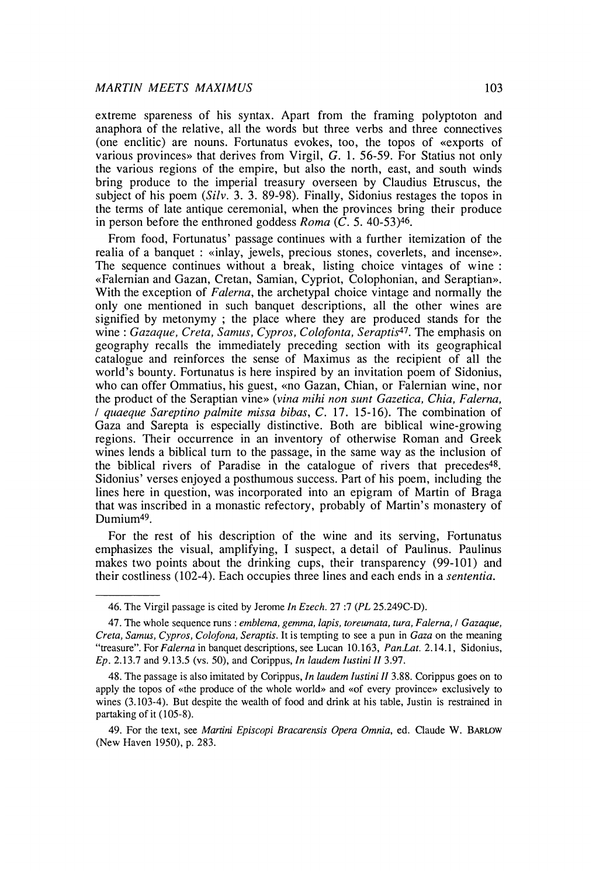extreme spareness of his syntax. Apart from the framing polyptoton and anaphora of the relative, all the words but three verbs and three connectives (one enclitic) are nouns. Fortunatus evokes, too, the topos of «exports of various provinces» that derives from Virgil, G. 1. 56-59. For Statius not only the various regions of the empire, but also the north, east, and south winds bring produce to the imperial treasury overseen by Claudius Etruscus, the subject of his poem *(Silv.* 3. 3. 89-98). Finally, Sidonius restages the topos in the terms of late antique ceremonial, when the provinces bring their produce in person before the enthroned goddess  $Roma (C. 5. 40-53)^{46}$ .

From food, Fortunatus' passage continues with a further itemization of the realia of a banquet : «inlay, jewels, precious stones, coverlets, and incense». The sequence continues without a break, listing choice vintages of wine : «Falernian and Gazan, Cretan, Samian, Cypriot, Colophonian, and Seraptian». With the exception of *Falerna,* the archetypal choice vintage and normally the only one mentioned in such banquet descriptions, all the other wines are signified by metonymy ; the place where they are produced stands for the wine : *Gazaque, Creta, Samus, Cypros, Colofonia, Seraptis<sup>41</sup> .* The emphasis on geography recalls the immediately preceding section with its geographical catalogue and reinforces the sense of Maximus as the recipient of all the world's bounty. Fortunatus is here inspired by an invitation poem of Sidonius, who can offer Ommatius, his guest, «no Gazan, Chian, or Falernian wine, nor the product of the Seraptian vine» *(vina mihi non sunt Gazetica, Chia, Falerna, I quaeque Sareptino palmite mis sa bibas, C.* 17. 15-16). The combination of Gaza and Sarepta is especially distinctive. Both are biblical wine-growing regions. Their occurrence in an inventory of otherwise Roman and Greek wines lends a biblical turn to the passage, in the same way as the inclusion of the biblical rivers of Paradise in the catalogue of rivers that precedes<sup>48</sup>. Sidonius' verses enjoyed a posthumous success. Part of his poem, including the lines here in question, was incorporated into an epigram of Martin of Braga that was inscribed in a monastic refectory, probably of Martin's monastery of mat was ms<br>Dumium<sup>49</sup>.

For the rest of his description of the wine and its serving, Fortunatus emphasizes the visual, amplifying, I suspect, a detail of Paulinus. Paulinus makes two points about the drinking cups, their transparency (99-101) and their costliness (102-4). Each occupies three lines and each ends in a *sententia.* 

<sup>46.</sup> The Virgil passage is cited by Jerome *In Ezech.* 27 :7 *(PL* 25.249C-D).

<sup>47.</sup> The whole sequence runs : *emblema, gemma, lapis, toreumata, tura, Falerna, I Gazaque, Creta, Samus, Cypros, Colofona, Seraptis.* It is tempting to see a pun in *Gaza* on the meaning "treasure". For *Falerna* in banquet descriptions, see Lucan 10.163, *PanLat.* 2.14.1, Sidonius, *Ep.* 2.13.7 and 9.13.5 (vs. 50), and Corippus, *In laudem Iustini II* 3.97.

<sup>48.</sup> The passage is also imitated by Corippus, *In laudem Iustini II* 3.88. Corippus goes on to apply the topos of «the produce of the whole world» and «of every province» exclusively to wines (3.103-4). But despite the wealth of food and drink at his table, Justin is restrained in partaking of it (105-8).

<sup>49.</sup> For the text, see *Martini Episcopi Bracarensis Opera Omnia,* ed. Claude W. BARLOW (New Haven 1950), p. 283.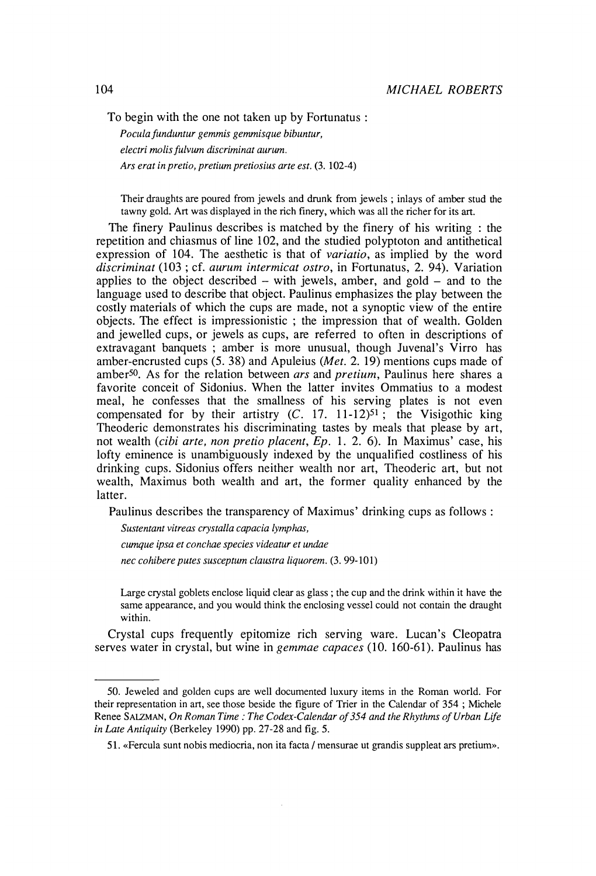To begin with the one not taken up by Fortunatus :

*Poculafunduntur gemmis gemmisque bibuntur, electri molisfulvum discriminât aurwn. Ars erat in pretto, pretium pretiosius arte est.* (3. 102-4)

Their draughts are poured from jewels and drunk from jewels ; inlays of amber stud the tawny gold. Art was displayed in the rich finery, which was all the richer for its art.

The finery Paulinus describes is matched by the finery of his writing : the repetition and chiasmus of line 102, and the studied polyptoton and antithetical expression of 104. The aesthetic is that of *variado,* as implied by the word *discriminât* (103 ; cf. *aurum intermicat ostro,* in Fortunatus, 2. 94). Variation applies to the object described  $-$  with jewels, amber, and gold  $-$  and to the language used to describe that object. Paulinus emphasizes the play between the costly materials of which the cups are made, not a synoptic view of the entire objects. The effect is impressionistic ; the impression that of wealth. Golden and jewelled cups, or jewels as cups, are referred to often in descriptions of extravagant banquets ; amber is more unusual, though Juvenal's Virro has amber-encrusted cups (5. 38) and Apuleius *(Met.* 2. 19) mentions cups made of amber<sup>50</sup> . As for the relation between *ars* and *pretium,* Paulinus here shares a favorite conceit of Sidonius. When the latter invites Ommatius to a modest meal, he confesses that the smallness of his serving plates is not even compensated for by their artistry  $(C. 17. 11-12)^{51}$ ; the Visigothic king Theoderic demonstrates his discriminating tastes by meals that please by art, not wealth *(cibi arte, non predo placent, Ep.* 1. 2. 6). In Maximus' case, his lofty eminence is unambiguously indexed by the unqualified costliness of his drinking cups. Sidonius offers neither wealth nor art, Theoderic art, but not wealth, Maximus both wealth and art, the former quality enhanced by the latter.

Paulinus describes the transparency of Maximus' drinking cups as follows :

*Sustentant vitreas crystalla capada lymphas, cwnque ipsa et conchae species videatur et undae nee cohibere putes susceptum claustra liquor em.* (3. 99-101)

Large crystal goblets enclose liquid clear as glass ; the cup and the drink within it have the same appearance, and you would think the enclosing vessel could not contain the draught within.

Crystal cups frequently epitomize rich serving ware. Lucan's Cleopatra serves water in crystal, but wine in *gemmae capaces* (10. 160-61). Paulinus has

<sup>50.</sup> Jeweled and golden cups are well documented luxury items in the Roman world. For their representation in art, see those beside the figure of Trier in the Calendar of 354 ; Michele Renee SALZMAN, On Roman Time : The Codex-Calendar of 354 and the Rhythms of Urban Life *in Late Antiquity* (Berkeley 1990) pp. 27-28 and fig. 5.

<sup>51. «</sup>Fercula sunt nobis mediocria, non ita facta / mensurae ut grandis suppléât ars pretium».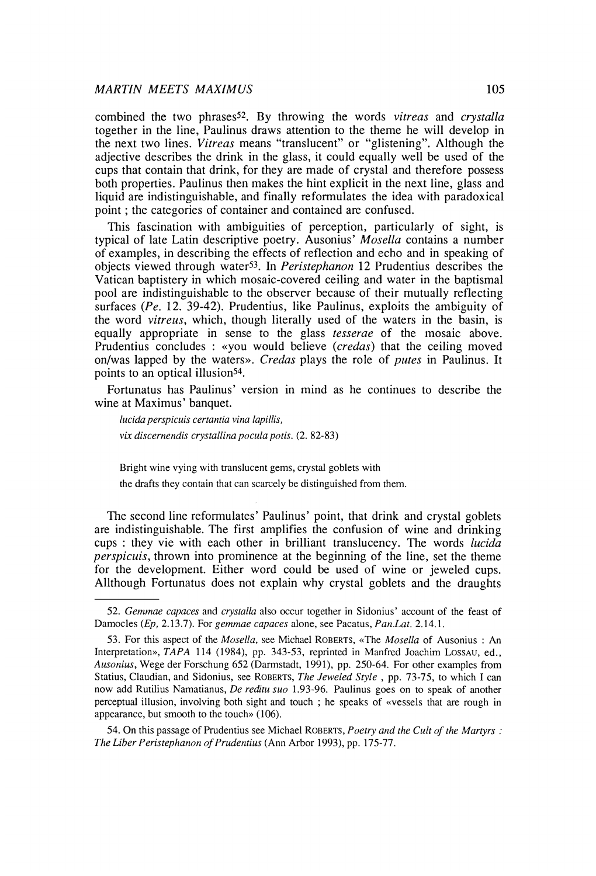combined the two phrases<sup>52</sup>. By throwing the words vitreas and crystalla together in the line, Paulinus draws attention to the theme he will develop in the next two lines. *Vitreas* means "translucent" or "glistening". Although the adjective describes the drink in the glass, it could equally well be used of the cups that contain that drink, for they are made of crystal and therefore possess both properties. Paulinus then makes the hint explicit in the next line, glass and liquid are indistinguishable, and finally reformulates the idea with paradoxical point ; the categories of container and contained are confused.

This fascination with ambiguities of perception, particularly of sight, is typical of late Latin descriptive poetry. Ausonius' *M osella* contains a number of examples, in describing the effects of reflection and echo and in speaking of objects viewed through water<sup>53</sup> . In *Peristephanon* 12 Prudentius describes the Vatican baptistery in which mosaic-covered ceiling and water in the baptismal pool are indistinguishable to the observer because of their mutually reflecting surfaces *(Pe.* 12. 39-42). Prudentius, like Paulinus, exploits the ambiguity of the word *vitreus,* which, though literally used of the waters in the basin, is equally appropriate in sense to the glass *tesserae* of the mosaic above. Prudentius concludes : «you would believe *(credas)* that the ceiling moved on/was lapped by the waters». *Credas* plays the role of *pûtes* in Paulinus. It points to an optical illusion<sup>54</sup>.

Fortunatus has Paulinus' version in mind as he continues to describe the wine at Maximus' banquet.

*lucida perspicuis certantia vina lapillis, vix discernendis crystallina pocula potis.* (2. 82-83)

Bright wine vying with translucent gems, crystal goblets with

the drafts they contain that can scarcely be distinguished from them.

The second line reformulates' Paulinus' point, that drink and crystal goblets are indistinguishable. The first amplifies the confusion of wine and drinking cups : they vie with each other in brilliant translucency. The words *lucida perspicuis,* thrown into prominence at the beginning of the line, set the theme for the development. Either word could be used of wine or jeweled cups. Allthough Fortunatus does not explain why crystal goblets and the draughts

<sup>52.</sup> *Gemmae capaces* and *crystalla* also occur together in Sidonius' account of the feast of Damocles *(Ep,* 2.13.7). For *gemmae capaces* alone, see Pacatus, *PanLat.* 2.14.1.

<sup>53.</sup> For this aspect of the *Mosella,* see Michael ROBERTS, «The *Mosella* of Ausonius : An Interpretation», *TAPA* 114 (1984), pp. 343-53, reprinted in Manfred Joachim LOSSAU, ed., *Ausonius,* Wege der Forschung 652 (Darmstadt, 1991), pp. 250-64. For other examples from Statius, Claudian, and Sidonius, see ROBERTS, *The Jeweled Style* , pp. 73-75, to which I can now add Rutilius Namatianus, *De reditu suo* 1.93-96. Paulinus goes on to speak of another perceptual illusion, involving both sight and touch ; he speaks of «vessels that are rough in appearance, but smooth to the touch» (106).

<sup>54.</sup> On this passage of Prudentius see Michael ROBERTS, *Poetry and the Cult of the Martyrs : The Liber Peristephanon of Prudentius* (Ann Arbor 1993), pp. 175-77.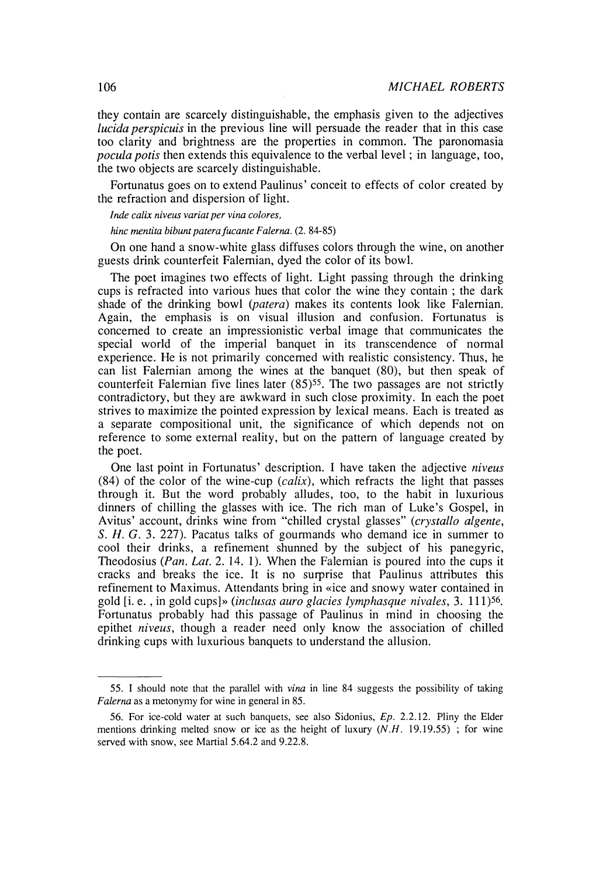they contain are scarcely distinguishable, the emphasis given to the adjectives *lucida perspicuis* in the previous line will persuade the reader that in this case too clarity and brightness are the properties in common. The paronomasia *pocula potis* then extends this equivalence to the verbal level ; in language, too, the two objects are scarcely distinguishable.

Fortunatus goes on to extend Paulinus' conceit to effects of color created by the refraction and dispersion of light.

*Inde calix niveus variât per vina colores,* 

#### *hinc mentita bibunt patera fucante Falerna.* (2. 84-85)

On one hand a snow-white glass diffuses colors through the wine, on another guests drink counterfeit Falernian, dyed the color of its bowl.

The poet imagines two effects of light. Light passing through the drinking cups is refracted into various hues that color the wine they contain ; the dark shade of the drinking bowl *{patera)* makes its contents look like Falernian. Again, the emphasis is on visual illusion and confusion. Fortunatus is concerned to create an impressionistic verbal image that communicates the special world of the imperial banquet in its transcendence of normal experience. He is not primarily concerned with realistic consistency. Thus, he can list Falernian among the wines at the banquet (80), but then speak of counterfeit Falernian five lines later (85)<sup>55</sup> . The two passages are not strictly contradictory, but they are awkward in such close proximity. In each the poet strives to maximize the pointed expression by lexical means. Each is treated as a separate compositional unit, the significance of which depends not on reference to some external reality, but on the pattern of language created by the poet.

One last point in Fortunatus' description. I have taken the adjective *niveus*  (84) of the color of the wine-cup *{calix),* which refracts the light that passes through it. But the word probably alludes, too, to the habit in luxurious dinners of chilling the glasses with ice. The rich man of Luke's Gospel, in Avitus' account, drinks wine from "chilled crystal glasses" *{crystallo algente, S. H. G. 3.* 227). Pacatus talks of gourmands who demand ice in summer to cool their drinks, a refinement shunned by the subject of his panegyric, Theodosius *{Pan. Lat.* 2. 14. 1). When the Falernian is poured into the cups it cracks and breaks the ice. It is no surprise that Paulinus attributes this refinement to Maximus. Attendants bring in «ice and snowy water contained in gold [i. e. , in gold cups]» *{inclusas auro glacies lymphasque nivales,* 3. 111)<sup>56</sup> . Fortunatus probably had this passage of Paulinus in mind in choosing the epithet *niveus,* though a reader need only know the association of chilled drinking cups with luxurious banquets to understand the allusion.

<sup>55.</sup> I should note that the parallel with *vina* in line 84 suggests the possibility of taking *Falerna* as a metonymy for wine in general in 85.

<sup>56.</sup> For ice-cold water at such banquets, see also Sidonius, *Ep.* 2.2.12. Pliny the Elder mentions drinking melted snow or ice as the height of luxury *(N.H.* 19.19.55) ; for wine served with snow, see Martial 5.64.2 and 9.22.8.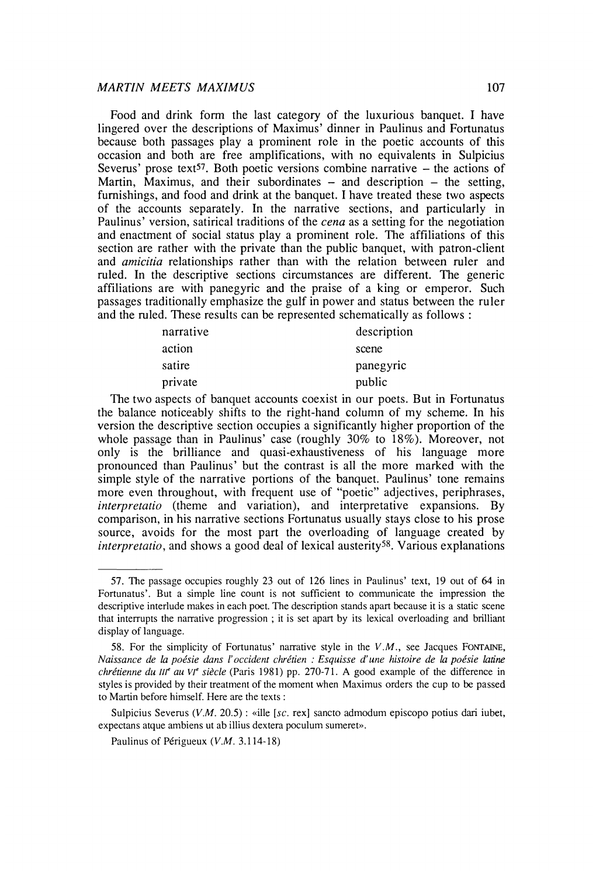### *MARTIN MEETS MAXIMUS* 107

Food and drink form the last category of the luxurious banquet. I have lingered over the descriptions of Maximus' dinner in Paulinus and Fortunatus because both passages play a prominent role in the poetic accounts of this occasion and both are free amplifications, with no equivalents in Sulpicius Severus' prose text<sup>57</sup>. Both poetic versions combine narrative – the actions of Martin, Maximus, and their subordinates  $-$  and description  $-$  the setting, furnishings, and food and drink at the banquet. I have treated these two aspects of the accounts separately. In the narrative sections, and particularly in Paulinus' version, satirical traditions of the *cena* as a setting for the negotiation and enactment of social status play a prominent role. The affiliations of this section are rather with the private than the public banquet, with patron-client and *amicitia* relationships rather than with the relation between ruler and ruled. In the descriptive sections circumstances are different. The generic affiliations are with panegyric and the praise of a king or emperor. Such passages traditionally emphasize the gulf in power and status between the ruler and the ruled. These results can be represented schematically as follows :

| narrative | description |
|-----------|-------------|
| action    | scene       |
| satire    | panegyric   |
| private   | public      |

The two aspects of banquet accounts coexist in our poets. But in Fortunatus the balance noticeably shifts to the right-hand column of my scheme. In his version the descriptive section occupies a significantly higher proportion of the whole passage than in Paulinus' case (roughly 30% to 18%). Moreover, not only is the brilliance and quasi-exhaustiveness of his language more pronounced than Paulinus' but the contrast is all the more marked with the simple style of the narrative portions of the banquet. Paulinus' tone remains more even throughout, with frequent use of "poetic" adjectives, periphrases, *interpretano* (theme and variation), and interpretative expansions. By comparison, in his narrative sections Fortunatus usually stays close to his prose source, avoids for the most part the overloading of language created by *interpretatio*, and shows a good deal of lexical austerity<sup>58</sup>. Various explanations

<sup>57.</sup> The passage occupies roughly 23 out of 126 lines in Paulinus' text, 19 out of 64 in Fortunatus'. But a simple line count is not sufficient to communicate the impression the descriptive interlude makes in each poet. The description stands apart because it is a static scene that interrupts the narrative progression ; it is set apart by its lexical overloading and brilliant display of language.

<sup>58.</sup> For the simplicity of Fortunatus' narrative style in the *V.M.,* see Jacques FONTAINE, *Naissance de la poésie dans l'occident chrétien : Esquisse d'une histoire de la poésie latine chrétienne du III<sup>e</sup> au VI<sup>e</sup> siècle* (Paris 1981) pp. 270-71. A good example of the difference in styles is provided by their treatment of the moment when Maximus orders the cup to be passed to Martin before himself. Here are the texts :

Sulpicius Severus *(V.M.* 20.5) : «ille *[sc.* rex] sancto admodum episcopo potius dari iubet, expectans atque ambiens ut ab illius dextera poculum sumeret».

Paulinus of Périgueux *(V.M.* 3.114-18)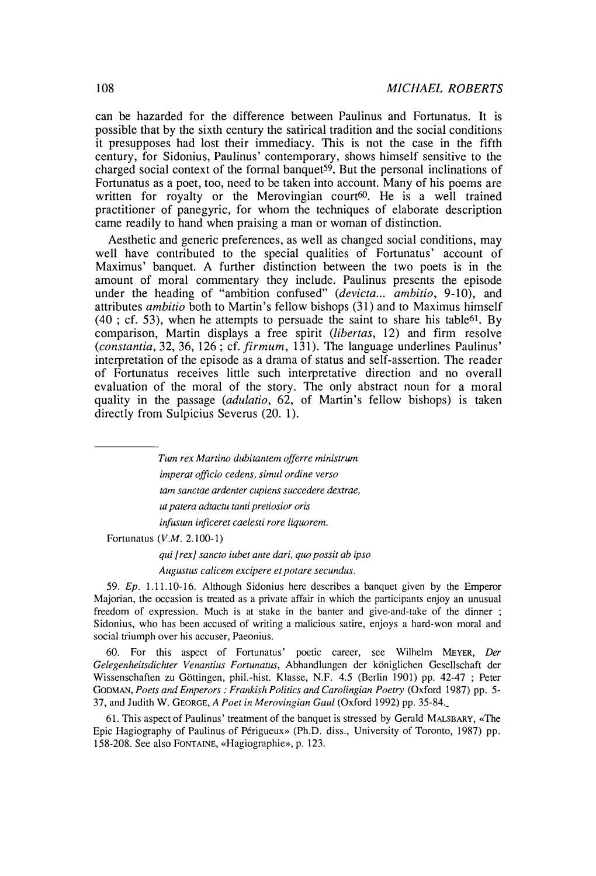can be hazarded for the difference between Paulinus and Fortunatus. It is possible that by the sixth century the satirical tradition and the social conditions it presupposes had lost their immediacy. This is not the case in the fifth century, for Sidonius, Paulinus' contemporary, shows himself sensitive to the charged social context of the formal banquet<sup>59</sup>. But the personal inclinations of Fortunatus as a poet, too, need to be taken into account. Many of his poems are written for royalty or the Merovingian court<sup>60</sup>. He is a well trained practitioner of panegyric, for whom the techniques of elaborate description came readily to hand when praising a man or woman of distinction.

Aesthetic and generic preferences, as well as changed social conditions, may well have contributed to the special qualities of Fortunatus' account of Maximus' banquet. A further distinction between the two poets is in the amount of moral commentary they include. Paulinus presents the episode under the heading of "ambition confused" (devicta... ambitio, 9-10), and attributes *ambino* both to Martin's fellow bishops (31) and to Maximus himself  $(40; cf. 53)$ , when he attempts to persuade the saint to share his table<sup>61</sup>. By comparison, Martin displays a free spirit *(libertas,* 12) and firm resolve *{constantia,* 32, 36, 126 ; cf. *firmum,* 131). The language underlines Paulinus' interpretation of the episode as a drama of status and self-assertion. The reader of Fortunatus receives little such interpretative direction and no overall evaluation of the moral of the story. The only abstract noun for a moral quality in the passage *(adulado,* 62, of Martin's fellow bishops) is taken directly from Sulpicius Severus (20. 1).

> *Turn rex Martino dubitantem offerre ministrimi imperai officio cedens, simul ordine verso tarn sanctae ardenter cupiens succedere dextrae, ut patera adtactu tanti pretiosior oris infusum inficerei cadesti rore liquorem.*

Fortunatus *{V.M.* 2.100-1)

*qui [rex] sancto iubet ante dari, quo possit ab ipso* 

*Augustus calicem excipere et potare secundus.* 

59. *Ep.* 1.11.10-16. Although Sidonius here describes a banquet given by the Emperor Majorian, the occasion is treated as a private affair in which the participants enjoy an unusual freedom of expression. Much is at stake in the banter and give-and-take of the dinner ; Sidonius, who has been accused of writing a malicious satire, enjoys a hard-won moral and social triumph over his accuser, Paeonius.

60. For this aspect of Fortunatus' poetic career, see Wilhelm MEYER, *Der Gelegenheitsdichter Venantius Fortunatus,* Abhandlungen der königlichen Gesellschaft der Wissenschaften zu Göttingen, phil.-hist. Klasse, N.F. 4.5 (Berlin 1901) pp. 42-47 ; Peter GODMAN, *Poets and Emperors : Prankish Politics and Carolingian Poetry* (Oxford 1987) pp. 5- 37, and Judith W. GEORGE, *A Poet in Merovingian Gaul* (Oxford 1992) pp. 35-84..

61. This aspect of Paulinus' treatment of the banquet is stressed by Gerald MALSBARY, «The Epic Hagiography of Paulinus of Périgueux» (Ph.D. diss., University of Toronto, 1987) pp. 158-208. See also FONTAINE, «Hagiographie», p. 123.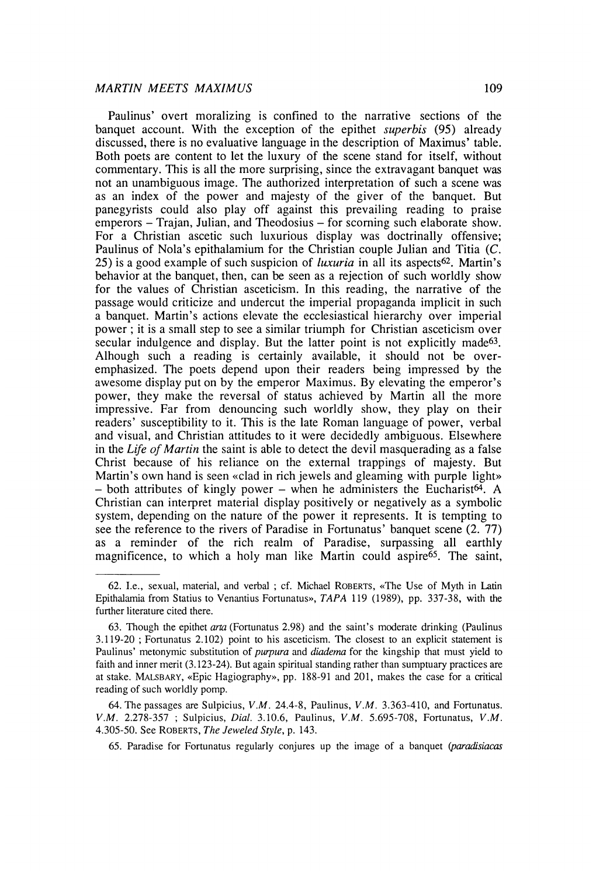Paulinus' overt moralizing is confined to the narrative sections of the banquet account. With the exception of the epithet *superbis* (95) already discussed, there is no evaluative language in the description of Maximus' table. Both poets are content to let the luxury of the scene stand for itself, without commentary. This is all the more surprising, since the extravagant banquet was not an unambiguous image. The authorized interpretation of such a scene was as an index of the power and majesty of the giver of the banquet. But panegyrists could also play off against this prevailing reading to praise emperors - Trajan, Julian, and Theodosius - for scorning such elaborate show. For a Christian ascetic such luxurious display was doctrinally offensive; Paulinus of Nola's epithalamium for the Christian couple Julian and Titia (C 25) is a good example of such suspicion of *luxuria* in all its aspects<sup>62</sup>. Martin's behavior at the banquet, then, can be seen as a rejection of such worldly show for the values of Christian asceticism. In this reading, the narrative of the passage would criticize and undercut the imperial propaganda implicit in such a banquet. Martin's actions elevate the ecclesiastical hierarchy over imperial power ; it is a small step to see a similar triumph for Christian asceticism over secular indulgence and display. But the latter point is not explicitly made<sup>63</sup>. Alhough such a reading is certainly available, it should not be overemphasized. The poets depend upon their readers being impressed by the awesome display put on by the emperor Maximus. By elevating the emperor's power, they make the reversal of status achieved by Martin all the more impressive. Far from denouncing such worldly show, they play on their readers' susceptibility to it. This is the late Roman language of power, verbal and visual, and Christian attitudes to it were decidedly ambiguous. Elsewhere in the *Life of Martin* the saint is able to detect the devil masquerading as a false Christ because of his reliance on the external trappings of majesty. But Martin's own hand is seen «clad in rich jewels and gleaming with purple light»  $-$  both attributes of kingly power – when he administers the Eucharist<sup>64</sup>. A Christian can interpret material display positively or negatively as a symbolic system, depending on the nature of the power it represents. It is tempting to see the reference to the rivers of Paradise in Fortunatus' banquet scene (2. 77) as a reminder of the rich realm of Paradise, surpassing all earthly as a femmeer of the field realified to rafacise, surpassing an earling<br>magnificence to which a holy man like Martin could aspire<sup>65</sup>. The saint

<sup>62.</sup> I.e., sexual, material, and verbal ; cf. Michael ROBERTS, «The Use of Myth in Latin Epithalamia from Statius to Venantius Fortunatus», *TAPA* 119 (1989), pp. 337-38, with the further literature cited there.

<sup>63.</sup> Though the epithet *arta* (Fortunatus 2.98) and the saint's moderate drinking (Paulinus 3.119-20 ; Fortunatus 2.102) point to his asceticism. The closest to an explicit statement is Paulinus' métonymie substitution of *purpura* and *diadema* for the kingship that must yield to faith and inner merit (3.123-24). But again spiritual standing rather than sumptuary practices are at stake. MALSBARY, «Epic Hagiography», pp. 188-91 and 201, makes the case for a critical reading of such worldly pomp.

<sup>64.</sup> The passages are Sulpicius, *V.M.* 24.4-8, Paulinus, *V.M.* 3.363-410, and Fortunatus. *V.M.* 2.278-357 ; Sulpicius, *Dial.* 3.10.6, Paulinus, *V.M.* 5.695-708, Fortunatus, *V.M.*  4.305-50. See ROBERTS, *The Jeweled Style,* p. 143.

<sup>65.</sup> Paradise for Fortunatus regularly conjures up the image of a banquet *{paradisiacas*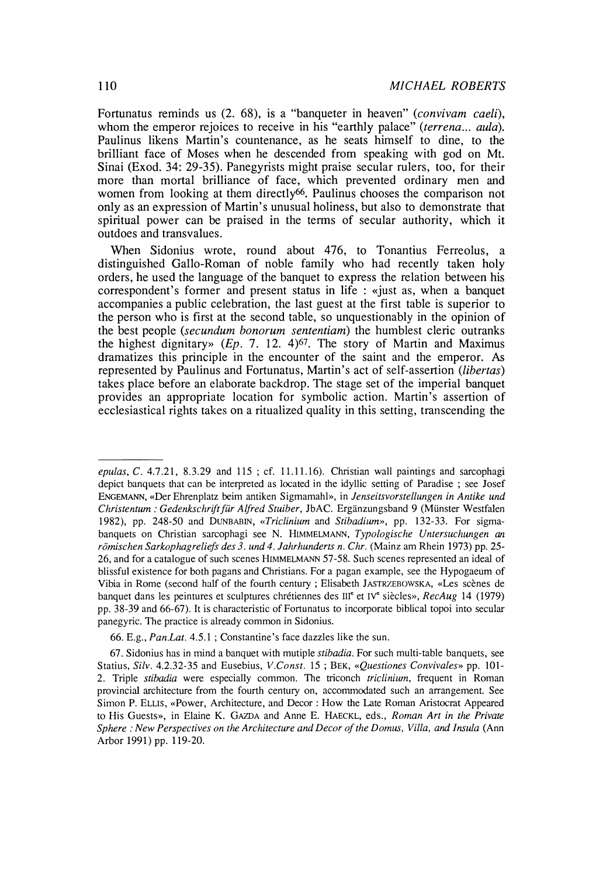Fortunatus reminds us (2. 68), is a "banqueter in heaven" *(convivam caeli),*  whom the emperor rejoices to receive in his "earthly palace" *(terrena... aula).* Paulinus likens Martin's countenance, as he seats himself to dine, to the brilliant face of Moses when he descended from speaking with god on Mt. Sinai (Exod. 34: 29-35). Panegyrists might praise secular rulers, too, for their more than mortal brilliance of face, which prevented ordinary men and women from looking at them directly<sup>66</sup>. Paulinus chooses the comparison not only as an expression of Martin's unusual holiness, but also to demonstrate that spiritual power can be praised in the terms of secular authority, which it outdoes and transvalues.

When Sidonius wrote, round about 476, to Tonantius Ferreolus, a distinguished Gallo-Roman of noble family who had recently taken holy orders, he used the language of the banquet to express the relation between his correspondent's former and present status in life : «just as, when a banquet accompanies a public celebration, the last guest at the first table is superior to the person who is first at the second table, so unquestionably in the opinion of the best people *(secundum bonorum sententiam)* the humblest cleric outranks the highest dignitary» ( $Ep.$  7. 12. 4)<sup>67</sup>. The story of Martin and Maximus dramatizes this principle in the encounter of the saint and the emperor. As represented by Paulinus and Fortunatus, Martin's act of self-assertion *(libertas)*  takes place before an elaborate backdrop. The stage set of the imperial banquet provides an appropriate location for symbolic action. Martin's assertion of ecclesiastical rights takes on a ritualized quality in this setting, transcending the

*epulas, C.* 4.7.21, 8.3.29 and 115 ; cf. 11.11.16). Christian wall paintings and sarcophagi depict banquets that can be interpreted as located in the idyllic setting of Paradise ; see Josef ENGEMANN, «Der Ehrenplatz beim antiken Sigmamahl», in *Jenseitsvorstellungen in Antike und Christentum : Gedenkschriftfür Alfred Stuiber,* JbAC. Ergänzungsband 9 (Münster Westfalen 1982), pp. 248-50 and DUNBABIN, *«Triclinium* and *Stibadium»,* pp. 132-33. For sigmabanquets on Christian sarcophagi see Ν. HIMMELMANN, *Typologische Untersuchungen an römischen Sarkophagreliefs des 3. und 4. Jahrhunderts n. Chr.* (Mainz am Rhein 1973) pp. 25- 26, and for a catalogue of such scenes HIMMELMANN 57-58. Such scenes represented an ideal of blissful existence for both pagans and Christians. For a pagan example, see the Hypogaeum of Vibia in Rome (second half of the fourth century ; Elisabeth JASTRZEBOWSKA, «Les scènes de banquet dans les peintures et sculptures chrétiennes des III<sup>e</sup> et IV<sup>e</sup> siècles», RecAug 14 (1979) pp. 38-39 and 66-67). It is characteristic of Fortunatus to incorporate biblical topoi into secular panegyric. The practice is already common in Sidonius.

<sup>66.</sup> E.g., *PanLat.* 4.5.1 ; Constantine's face dazzles like the sun.

<sup>67.</sup> Sidonius has in mind a banquet with mutiple *stibadia.* For such multi-table banquets, see Statius, *Silv.* 4.2.32-35 and Eusebius, *V.Const.* 15 ; BEK, *«Questiones Convivales»* pp. 101- 2. Triple *stibadia* were especially common. The triconch *triclinium,* frequent in Roman provincial architecture from the fourth century on, accommodated such an arrangement. See Simon P. ELLIS, «Power, Architecture, and Decor : How the Late Roman Aristocrat Appeared to His Guests», in Elaine K. GAZDA and Anne E. HAECKL, eds., *Roman Art in the Private Sphere : New Perspectives on the Architecture and Decor of the Domus, Villa, and Insula* (Ann Arbor 1991) pp. 119-20.